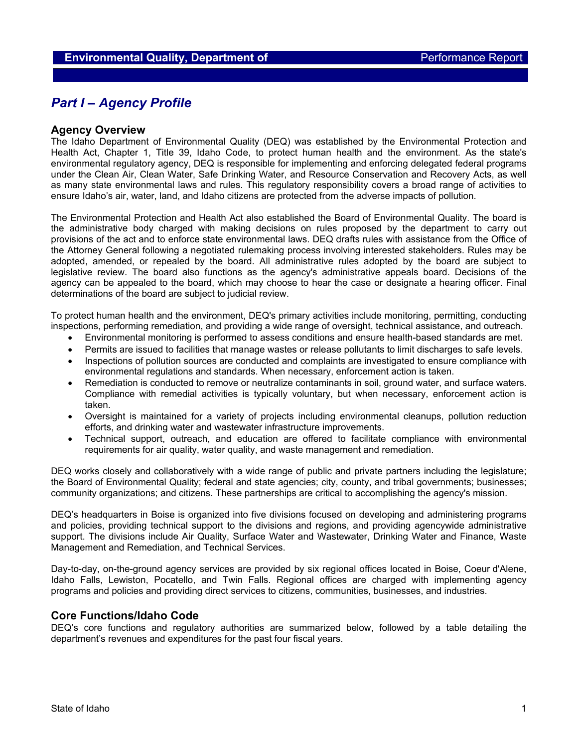# *Part I – Agency Profile*

### **Agency Overview**

The Idaho Department of Environmental Quality (DEQ) was established by the Environmental Protection and Health Act, Chapter 1, Title 39, Idaho Code, to protect human health and the environment. As the state's environmental regulatory agency, DEQ is responsible for implementing and enforcing delegated federal programs under the Clean Air, Clean Water, Safe Drinking Water, and Resource Conservation and Recovery Acts, as well as many state environmental laws and rules. This regulatory responsibility covers a broad range of activities to ensure Idaho's air, water, land, and Idaho citizens are protected from the adverse impacts of pollution.

The Environmental Protection and Health Act also established the Board of Environmental Quality. The board is the administrative body charged with making decisions on rules proposed by the department to carry out provisions of the act and to enforce state environmental laws. DEQ drafts rules with assistance from the Office of the Attorney General following a negotiated rulemaking process involving interested stakeholders. Rules may be adopted, amended, or repealed by the board. All administrative rules adopted by the board are subject to legislative review. The board also functions as the agency's administrative appeals board. Decisions of the agency can be appealed to the board, which may choose to hear the case or designate a hearing officer. Final determinations of the board are subject to judicial review.

To protect human health and the environment, DEQ's primary activities include monitoring, permitting, conducting inspections, performing remediation, and providing a wide range of oversight, technical assistance, and outreach.

- Environmental monitoring is performed to assess conditions and ensure health-based standards are met.
- Permits are issued to facilities that manage wastes or release pollutants to limit discharges to safe levels.
- Inspections of pollution sources are conducted and complaints are investigated to ensure compliance with environmental regulations and standards. When necessary, enforcement action is taken.
- Remediation is conducted to remove or neutralize contaminants in soil, ground water, and surface waters. Compliance with remedial activities is typically voluntary, but when necessary, enforcement action is taken.
- Oversight is maintained for a variety of projects including environmental cleanups, pollution reduction efforts, and drinking water and wastewater infrastructure improvements.
- Technical support, outreach, and education are offered to facilitate compliance with environmental requirements for air quality, water quality, and waste management and remediation.

DEQ works closely and collaboratively with a wide range of public and private partners including the legislature; the Board of Environmental Quality; federal and state agencies; city, county, and tribal governments; businesses; community organizations; and citizens. These partnerships are critical to accomplishing the agency's mission.

DEQ's headquarters in Boise is organized into five divisions focused on developing and administering programs and policies, providing technical support to the divisions and regions, and providing agencywide administrative support. The divisions include Air Quality, Surface Water and Wastewater, Drinking Water and Finance, Waste Management and Remediation, and Technical Services.

Day-to-day, on-the-ground agency services are provided by six regional offices located in Boise, Coeur d'Alene, Idaho Falls, Lewiston, Pocatello, and Twin Falls. Regional offices are charged with implementing agency programs and policies and providing direct services to citizens, communities, businesses, and industries.

### **Core Functions/Idaho Code**

DEQ's core functions and regulatory authorities are summarized below, followed by a table detailing the department's revenues and expenditures for the past four fiscal years.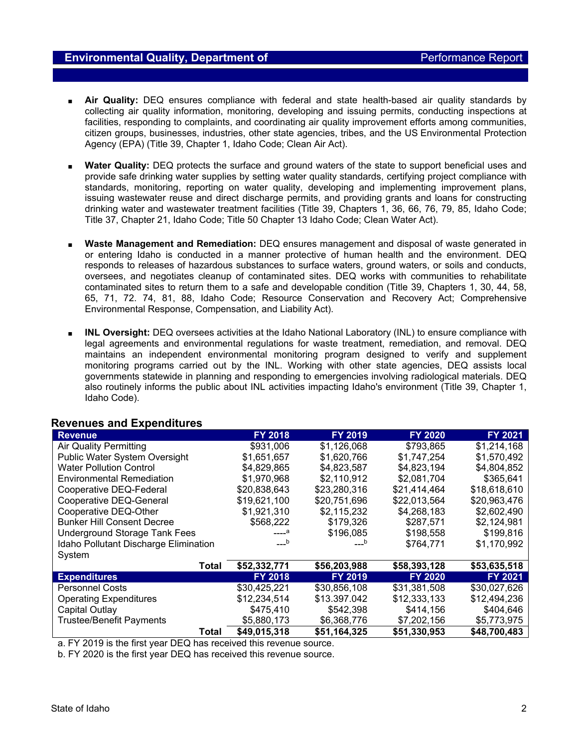- Air Quality: DEQ ensures compliance with federal and state health-based air quality standards by collecting air quality information, monitoring, developing and issuing permits, conducting inspections at facilities, responding to complaints, and coordinating air quality improvement efforts among communities, citizen groups, businesses, industries, other state agencies, tribes, and the US Environmental Protection Agency (EPA) (Title 39, Chapter 1, Idaho Code; Clean Air Act).
- **Water Quality:** DEQ protects the surface and ground waters of the state to support beneficial uses and provide safe drinking water supplies by setting water quality standards, certifying project compliance with standards, monitoring, reporting on water quality, developing and implementing improvement plans, issuing wastewater reuse and direct discharge permits, and providing grants and loans for constructing drinking water and wastewater treatment facilities (Title 39, Chapters 1, 36, 66, 76, 79, 85, Idaho Code; Title 37, Chapter 21, Idaho Code; Title 50 Chapter 13 Idaho Code; Clean Water Act).
- **Waste Management and Remediation:** DEQ ensures management and disposal of waste generated in or entering Idaho is conducted in a manner protective of human health and the environment. DEQ responds to releases of hazardous substances to surface waters, ground waters, or soils and conducts, oversees, and negotiates cleanup of contaminated sites. DEQ works with communities to rehabilitate contaminated sites to return them to a safe and developable condition (Title 39, Chapters 1, 30, 44, 58, 65, 71, 72. 74, 81, 88, Idaho Code; Resource Conservation and Recovery Act; Comprehensive Environmental Response, Compensation, and Liability Act).
- **INL Oversight:** DEQ oversees activities at the Idaho National Laboratory (INL) to ensure compliance with legal agreements and environmental regulations for waste treatment, remediation, and removal. DEQ maintains an independent environmental monitoring program designed to verify and supplement monitoring programs carried out by the INL. Working with other state agencies, DEQ assists local governments statewide in planning and responding to emergencies involving radiological materials. DEQ also routinely informs the public about INL activities impacting Idaho's environment (Title 39, Chapter 1, Idaho Code).

| <b>Revenue</b>                        | <b>FY 2018</b> | FY 2019        | <b>FY 2020</b> | <b>FY 2021</b> |
|---------------------------------------|----------------|----------------|----------------|----------------|
| <b>Air Quality Permitting</b>         | \$931,006      | \$1,126,068    | \$793,865      | \$1,214,168    |
| Public Water System Oversight         | \$1,651,657    | \$1,620,766    | \$1,747,254    | \$1,570,492    |
| <b>Water Pollution Control</b>        | \$4,829,865    | \$4,823,587    | \$4,823,194    | \$4,804,852    |
| <b>Environmental Remediation</b>      | \$1,970,968    | \$2,110,912    | \$2,081,704    | \$365,641      |
| Cooperative DEQ-Federal               | \$20,838,643   | \$23,280,316   | \$21,414,464   | \$18,618,610   |
| Cooperative DEQ-General               | \$19,621,100   | \$20,751,696   | \$22,013,564   | \$20,963,476   |
| Cooperative DEQ-Other                 | \$1,921,310    | \$2,115,232    | \$4,268,183    | \$2,602,490    |
| <b>Bunker Hill Consent Decree</b>     | \$568,222      | \$179,326      | \$287,571      | \$2,124,981    |
| Underground Storage Tank Fees         | $---a$         | \$196,085      | \$198,558      | \$199,816      |
| Idaho Pollutant Discharge Elimination | $---b$         | $---b$         | \$764,771      | \$1,170,992    |
| System                                |                |                |                |                |
| <b>Total</b>                          | \$52,332,771   | \$56,203,988   | \$58,393,128   | \$53,635,518   |
| <b>Expenditures</b>                   | <b>FY 2018</b> | <b>FY 2019</b> | <b>FY 2020</b> | <b>FY 2021</b> |
| <b>Personnel Costs</b>                | \$30,425,221   | \$30,856,108   | \$31,381,508   | \$30,027,626   |
| <b>Operating Expenditures</b>         | \$12,234,514   | \$13.397.042   | \$12,333,133   | \$12,494,236   |
| Capital Outlay                        | \$475,410      | \$542,398      | \$414,156      | \$404,646      |
| <b>Trustee/Benefit Payments</b>       | \$5,880,173    | \$6,368,776    | \$7,202,156    | \$5,773,975    |
| Total                                 | \$49,015,318   | \$51,164,325   | \$51,330,953   | \$48,700,483   |

## **Revenues and Expenditures**

a. FY 2019 is the first year DEQ has received this revenue source.

b. FY 2020 is the first year DEQ has received this revenue source.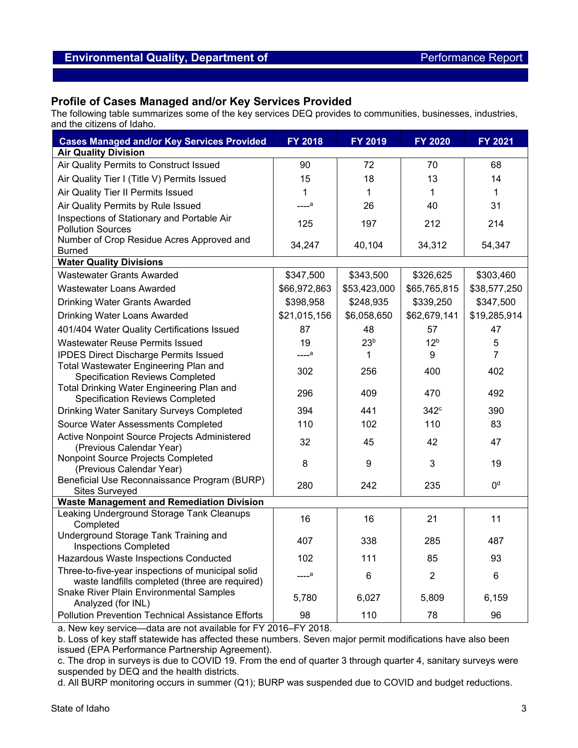## **Environmental Quality, Department of** *Environmental Quality***, Department of** *Performance Report*

## **Profile of Cases Managed and/or Key Services Provided**

The following table summarizes some of the key services DEQ provides to communities, businesses, industries, and the citizens of Idaho.

| <b>Cases Managed and/or Key Services Provided</b>                                                   | FY 2018           | FY 2019         | <b>FY 2020</b>   | <b>FY 2021</b>          |
|-----------------------------------------------------------------------------------------------------|-------------------|-----------------|------------------|-------------------------|
| <b>Air Quality Division</b>                                                                         |                   |                 |                  |                         |
| Air Quality Permits to Construct Issued                                                             | 90                | 72              | 70               | 68                      |
| Air Quality Tier I (Title V) Permits Issued                                                         | 15                | 18              | 13               | 14                      |
| Air Quality Tier II Permits Issued                                                                  | $\mathbf{1}$      | 1               | 1                | 1                       |
| Air Quality Permits by Rule Issued                                                                  | ---- <sup>a</sup> | 26              | 40               | 31                      |
| Inspections of Stationary and Portable Air<br><b>Pollution Sources</b>                              | 125               | 197             | 212              | 214                     |
| Number of Crop Residue Acres Approved and<br><b>Burned</b>                                          | 34,247            | 40,104          | 34,312           | 54,347                  |
| <b>Water Quality Divisions</b>                                                                      |                   |                 |                  |                         |
| <b>Wastewater Grants Awarded</b>                                                                    | \$347,500         | \$343,500       | \$326,625        | \$303,460               |
| Wastewater Loans Awarded                                                                            | \$66,972,863      | \$53,423,000    | \$65,765,815     | \$38,577,250            |
| <b>Drinking Water Grants Awarded</b>                                                                | \$398,958         | \$248,935       | \$339,250        | \$347,500               |
| <b>Drinking Water Loans Awarded</b>                                                                 | \$21,015,156      | \$6,058,650     | \$62,679,141     | \$19,285,914            |
| 401/404 Water Quality Certifications Issued                                                         | 87                | 48              | 57               | 47                      |
| <b>Wastewater Reuse Permits Issued</b>                                                              | 19                | 23 <sup>b</sup> | 12 <sup>b</sup>  | 5                       |
| <b>IPDES Direct Discharge Permits Issued</b>                                                        | ---- <sup>a</sup> | 1               | 9                | $\overline{7}$          |
| Total Wastewater Engineering Plan and<br><b>Specification Reviews Completed</b>                     | 302               | 256             | 400              | 402                     |
| Total Drinking Water Engineering Plan and<br><b>Specification Reviews Completed</b>                 | 296               | 409             | 470              | 492                     |
| Drinking Water Sanitary Surveys Completed                                                           | 394               | 441             | 342 <sup>c</sup> | 390                     |
| Source Water Assessments Completed                                                                  | 110               | 102             | 110              | 83                      |
| Active Nonpoint Source Projects Administered<br>(Previous Calendar Year)                            | 32                | 45              | 42               | 47                      |
| Nonpoint Source Projects Completed<br>(Previous Calendar Year)                                      | 8                 | 9               | 3                | 19                      |
| Beneficial Use Reconnaissance Program (BURP)<br><b>Sites Surveyed</b>                               | 280               | 242             | 235              | $\mathsf{O}^\mathsf{d}$ |
| <b>Waste Management and Remediation Division</b>                                                    |                   |                 |                  |                         |
| Leaking Underground Storage Tank Cleanups<br>Completed                                              | 16                | 16              | 21               | 11                      |
| Underground Storage Tank Training and<br><b>Inspections Completed</b>                               | 407               | 338             | 285              | 487                     |
| Hazardous Waste Inspections Conducted                                                               | 102               | 111             | 85               | 93                      |
| Three-to-five-year inspections of municipal solid<br>waste landfills completed (three are required) | ---- <sup>a</sup> | 6               | $\overline{2}$   | 6                       |
| <b>Snake River Plain Environmental Samples</b><br>Analyzed (for INL)                                | 5,780             | 6,027           | 5,809            | 6,159                   |
| Pollution Prevention Technical Assistance Efforts                                                   | 98                | 110             | 78               | 96                      |

a. New key service—data are not available for FY 2016–FY 2018.

b. Loss of key staff statewide has affected these numbers. Seven major permit modifications have also been issued (EPA Performance Partnership Agreement).

c. The drop in surveys is due to COVID 19. From the end of quarter 3 through quarter 4, sanitary surveys were suspended by DEQ and the health districts.

d. All BURP monitoring occurs in summer (Q1); BURP was suspended due to COVID and budget reductions.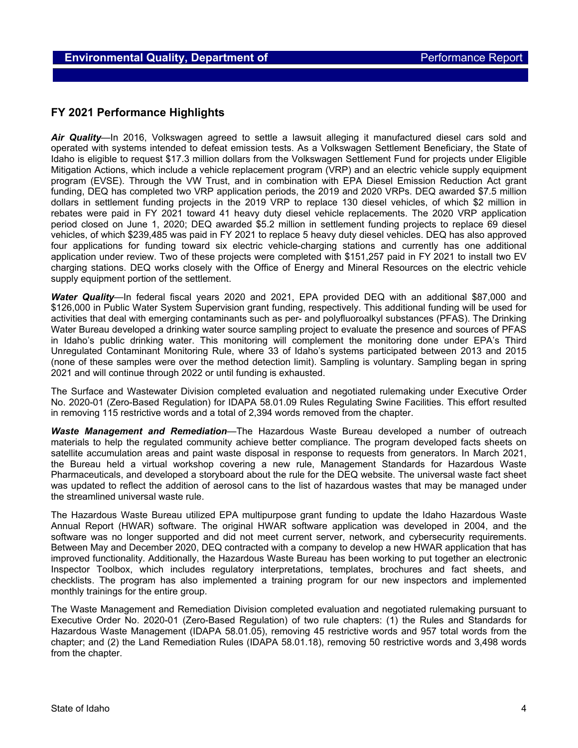## **FY 2021 Performance Highlights**

*Air Quality*—In 2016, Volkswagen agreed to settle a lawsuit alleging it manufactured diesel cars sold and operated with systems intended to defeat emission tests. As a Volkswagen Settlement Beneficiary, the State of Idaho is eligible to request \$17.3 million dollars from the Volkswagen Settlement Fund for projects under Eligible Mitigation Actions, which include a vehicle replacement program (VRP) and an electric vehicle supply equipment program (EVSE). Through the VW Trust, and in combination with EPA Diesel Emission Reduction Act grant funding, DEQ has completed two VRP application periods, the 2019 and 2020 VRPs. DEQ awarded \$7.5 million dollars in settlement funding projects in the 2019 VRP to replace 130 diesel vehicles, of which \$2 million in rebates were paid in FY 2021 toward 41 heavy duty diesel vehicle replacements. The 2020 VRP application period closed on June 1, 2020; DEQ awarded \$5.2 million in settlement funding projects to replace 69 diesel vehicles, of which \$239,485 was paid in FY 2021 to replace 5 heavy duty diesel vehicles. DEQ has also approved four applications for funding toward six electric vehicle-charging stations and currently has one additional application under review. Two of these projects were completed with \$151,257 paid in FY 2021 to install two EV charging stations. DEQ works closely with the Office of Energy and Mineral Resources on the electric vehicle supply equipment portion of the settlement.

*Water Quality*—In federal fiscal years 2020 and 2021, EPA provided DEQ with an additional \$87,000 and \$126,000 in Public Water System Supervision grant funding, respectively. This additional funding will be used for activities that deal with emerging contaminants such as per- and polyfluoroalkyl substances (PFAS). The Drinking Water Bureau developed a drinking water source sampling project to evaluate the presence and sources of PFAS in Idaho's public drinking water. This monitoring will complement the monitoring done under EPA's Third Unregulated Contaminant Monitoring Rule, where 33 of Idaho's systems participated between 2013 and 2015 (none of these samples were over the method detection limit). Sampling is voluntary. Sampling began in spring 2021 and will continue through 2022 or until funding is exhausted.

The Surface and Wastewater Division completed evaluation and negotiated rulemaking under Executive Order No. 2020-01 (Zero-Based Regulation) for IDAPA 58.01.09 Rules Regulating Swine Facilities. This effort resulted in removing 115 restrictive words and a total of 2,394 words removed from the chapter.

*Waste Management and Remediation*—The Hazardous Waste Bureau developed a number of outreach materials to help the regulated community achieve better compliance. The program developed facts sheets on satellite accumulation areas and paint waste disposal in response to requests from generators. In March 2021, the Bureau held a virtual workshop covering a new rule, Management Standards for Hazardous Waste Pharmaceuticals, and developed a storyboard about the rule for the DEQ website. The universal waste fact sheet was updated to reflect the addition of aerosol cans to the list of hazardous wastes that may be managed under the streamlined universal waste rule.

The Hazardous Waste Bureau utilized EPA multipurpose grant funding to update the Idaho Hazardous Waste Annual Report (HWAR) software. The original HWAR software application was developed in 2004, and the software was no longer supported and did not meet current server, network, and cybersecurity requirements. Between May and December 2020, DEQ contracted with a company to develop a new HWAR application that has improved functionality. Additionally, the Hazardous Waste Bureau has been working to put together an electronic Inspector Toolbox, which includes regulatory interpretations, templates, brochures and fact sheets, and checklists. The program has also implemented a training program for our new inspectors and implemented monthly trainings for the entire group.

The Waste Management and Remediation Division completed evaluation and negotiated rulemaking pursuant to Executive Order No. 2020-01 (Zero-Based Regulation) of two rule chapters: (1) the Rules and Standards for Hazardous Waste Management (IDAPA 58.01.05), removing 45 restrictive words and 957 total words from the chapter; and (2) the Land Remediation Rules (IDAPA 58.01.18), removing 50 restrictive words and 3,498 words from the chapter.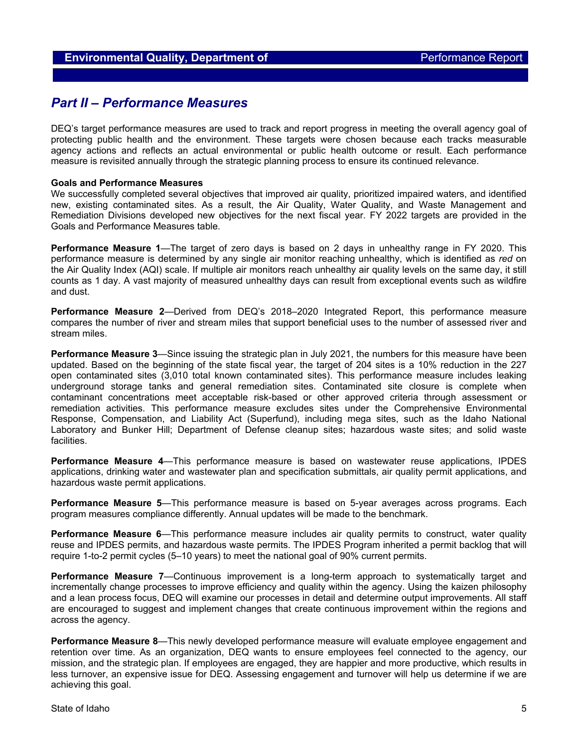# *Part II – Performance Measures*

DEQ's target performance measures are used to track and report progress in meeting the overall agency goal of protecting public health and the environment. These targets were chosen because each tracks measurable agency actions and reflects an actual environmental or public health outcome or result. Each performance measure is revisited annually through the strategic planning process to ensure its continued relevance.

#### **Goals and Performance Measures**

We successfully completed several objectives that improved air quality, prioritized impaired waters, and identified new, existing contaminated sites. As a result, the Air Quality, Water Quality, and Waste Management and Remediation Divisions developed new objectives for the next fiscal year. FY 2022 targets are provided in the Goals and Performance Measures table.

**Performance Measure 1**—The target of zero days is based on 2 days in unhealthy range in FY 2020. This performance measure is determined by any single air monitor reaching unhealthy, which is identified as *red* on the Air Quality Index (AQI) scale. If multiple air monitors reach unhealthy air quality levels on the same day, it still counts as 1 day. A vast majority of measured unhealthy days can result from exceptional events such as wildfire and dust.

**Performance Measure 2**—Derived from DEQ's 2018–2020 Integrated Report, this performance measure compares the number of river and stream miles that support beneficial uses to the number of assessed river and stream miles.

**Performance Measure 3**—Since issuing the strategic plan in July 2021, the numbers for this measure have been updated. Based on the beginning of the state fiscal year, the target of 204 sites is a 10% reduction in the 227 open contaminated sites (3,010 total known contaminated sites). This performance measure includes leaking underground storage tanks and general remediation sites. Contaminated site closure is complete when contaminant concentrations meet acceptable risk-based or other approved criteria through assessment or remediation activities. This performance measure excludes sites under the Comprehensive Environmental Response, Compensation, and Liability Act (Superfund), including mega sites, such as the Idaho National Laboratory and Bunker Hill; Department of Defense cleanup sites; hazardous waste sites; and solid waste facilities.

**Performance Measure 4**—This performance measure is based on wastewater reuse applications, IPDES applications, drinking water and wastewater plan and specification submittals, air quality permit applications, and hazardous waste permit applications.

**Performance Measure 5**—This performance measure is based on 5-year averages across programs. Each program measures compliance differently. Annual updates will be made to the benchmark.

**Performance Measure 6**—This performance measure includes air quality permits to construct, water quality reuse and IPDES permits, and hazardous waste permits. The IPDES Program inherited a permit backlog that will require 1-to-2 permit cycles (5–10 years) to meet the national goal of 90% current permits.

**Performance Measure 7**—Continuous improvement is a long-term approach to systematically target and incrementally change processes to improve efficiency and quality within the agency. Using the kaizen philosophy and a lean process focus, DEQ will examine our processes in detail and determine output improvements. All staff are encouraged to suggest and implement changes that create continuous improvement within the regions and across the agency.

**Performance Measure 8**—This newly developed performance measure will evaluate employee engagement and retention over time. As an organization, DEQ wants to ensure employees feel connected to the agency, our mission, and the strategic plan. If employees are engaged, they are happier and more productive, which results in less turnover, an expensive issue for DEQ. Assessing engagement and turnover will help us determine if we are achieving this goal.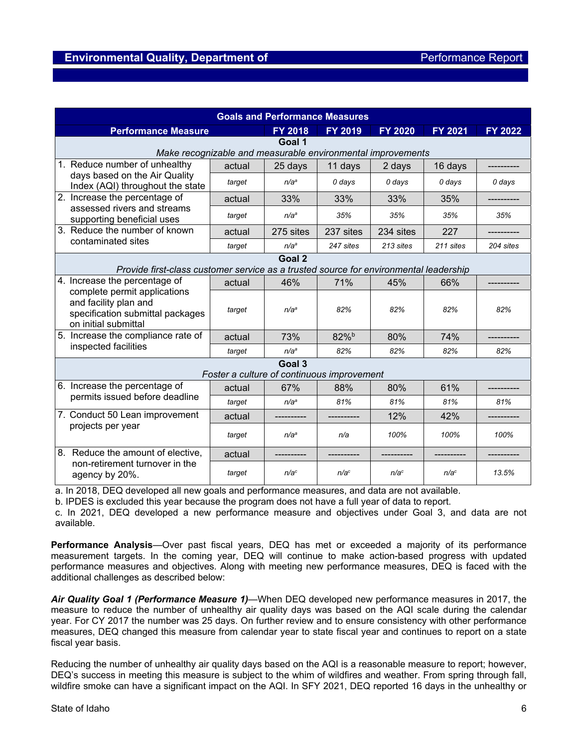| <b>Goals and Performance Measures</b>                                                                                                              |        |                  |                     |                  |                  |           |  |  |  |
|----------------------------------------------------------------------------------------------------------------------------------------------------|--------|------------------|---------------------|------------------|------------------|-----------|--|--|--|
| <b>Performance Measure</b>                                                                                                                         |        | <b>FY 2018</b>   | FY 2019             | <b>FY 2020</b>   | <b>FY 2021</b>   | FY 2022   |  |  |  |
| Goal 1                                                                                                                                             |        |                  |                     |                  |                  |           |  |  |  |
| Make recognizable and measurable environmental improvements                                                                                        |        |                  |                     |                  |                  |           |  |  |  |
| 1. Reduce number of unhealthy<br>days based on the Air Quality<br>Index (AQI) throughout the state                                                 | actual | 25 days          | 11 days             | 2 days           | 16 days          |           |  |  |  |
|                                                                                                                                                    | target | n/a <sup>a</sup> | 0 days              | 0 days           | 0 days           | 0 days    |  |  |  |
| 2. Increase the percentage of<br>assessed rivers and streams<br>supporting beneficial uses                                                         | actual | 33%              | 33%                 | 33%              | 35%              |           |  |  |  |
|                                                                                                                                                    | target | n/a <sup>a</sup> | 35%                 | 35%              | 35%              | 35%       |  |  |  |
| 3. Reduce the number of known<br>contaminated sites                                                                                                | actual | 275 sites        | 237 sites           | 234 sites        | 227              |           |  |  |  |
|                                                                                                                                                    | target | n/a <sup>a</sup> | 247 sites           | 213 sites        | 211 sites        | 204 sites |  |  |  |
|                                                                                                                                                    |        | Goal 2           |                     |                  |                  |           |  |  |  |
| Provide first-class customer service as a trusted source for environmental leadership                                                              |        |                  |                     |                  |                  |           |  |  |  |
| 4. Increase the percentage of<br>complete permit applications<br>and facility plan and<br>specification submittal packages<br>on initial submittal | actual | 46%              | 71%                 | 45%              | 66%              |           |  |  |  |
|                                                                                                                                                    | target | n/a <sup>a</sup> | 82%                 | 82%              | 82%              | 82%       |  |  |  |
| 5. Increase the compliance rate of<br>inspected facilities                                                                                         | actual | 73%              | $82\%$ <sup>b</sup> | 80%              | 74%              |           |  |  |  |
|                                                                                                                                                    | target | n/a <sup>a</sup> | 82%                 | 82%              | 82%              | 82%       |  |  |  |
| Goal 3<br>Foster a culture of continuous improvement                                                                                               |        |                  |                     |                  |                  |           |  |  |  |
| 6. Increase the percentage of<br>permits issued before deadline                                                                                    | actual | 67%              | 88%                 | 80%              | 61%              |           |  |  |  |
|                                                                                                                                                    |        |                  |                     |                  |                  |           |  |  |  |
|                                                                                                                                                    | target | n/a <sup>a</sup> | 81%                 | 81%              | 81%              | 81%       |  |  |  |
| 7. Conduct 50 Lean improvement<br>projects per year                                                                                                | actual |                  |                     | 12%              | 42%              |           |  |  |  |
|                                                                                                                                                    | target | n/aª             | n/a                 | 100%             | 100%             | 100%      |  |  |  |
| 8. Reduce the amount of elective,                                                                                                                  | actual |                  |                     |                  |                  |           |  |  |  |
| non-retirement turnover in the<br>agency by 20%.                                                                                                   | target | n/a <sup>c</sup> | n/a <sup>c</sup>    | n/a <sup>c</sup> | n/a <sup>c</sup> | 13.5%     |  |  |  |

a. In 2018, DEQ developed all new goals and performance measures, and data are not available.

b. IPDES is excluded this year because the program does not have a full year of data to report.

c. In 2021, DEQ developed a new performance measure and objectives under Goal 3, and data are not available.

**Performance Analysis**—Over past fiscal years, DEQ has met or exceeded a majority of its performance measurement targets. In the coming year, DEQ will continue to make action-based progress with updated performance measures and objectives. Along with meeting new performance measures, DEQ is faced with the additional challenges as described below:

*Air Quality Goal 1 (Performance Measure 1)*—When DEQ developed new performance measures in 2017, the measure to reduce the number of unhealthy air quality days was based on the AQI scale during the calendar year. For CY 2017 the number was 25 days. On further review and to ensure consistency with other performance measures, DEQ changed this measure from calendar year to state fiscal year and continues to report on a state fiscal year basis.

Reducing the number of unhealthy air quality days based on the AQI is a reasonable measure to report; however, DEQ's success in meeting this measure is subject to the whim of wildfires and weather. From spring through fall, wildfire smoke can have a significant impact on the AQI. In SFY 2021, DEQ reported 16 days in the unhealthy or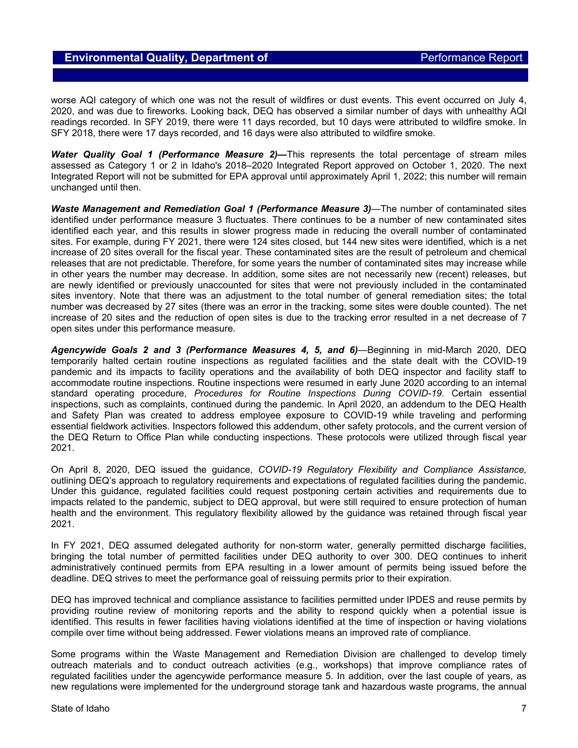worse AQI category of which one was not the result of wildfires or dust events. This event occurred on July 4, 2020, and was due to fireworks. Looking back, DEQ has observed a similar number of days with unhealthy AQI readings recorded. In SFY 2019, there were 11 days recorded, but 10 days were attributed to wildfire smoke. In SFY 2018, there were 17 days recorded, and 16 days were also attributed to wildfire smoke.

*Water Quality Goal 1 (Performance Measure 2)—*This represents the total percentage of stream miles assessed as Category 1 or 2 in Idaho's 2018–2020 Integrated Report approved on October 1, 2020. The next Integrated Report will not be submitted for EPA approval until approximately April 1, 2022; this number will remain unchanged until then.

*Waste Management and Remediation Goal 1 (Performance Measure 3)*—The number of contaminated sites identified under performance measure 3 fluctuates. There continues to be a number of new contaminated sites identified each year, and this results in slower progress made in reducing the overall number of contaminated sites. For example, during FY 2021, there were 124 sites closed, but 144 new sites were identified, which is a net increase of 20 sites overall for the fiscal year. These contaminated sites are the result of petroleum and chemical releases that are not predictable. Therefore, for some years the number of contaminated sites may increase while in other years the number may decrease. In addition, some sites are not necessarily new (recent) releases, but are newly identified or previously unaccounted for sites that were not previously included in the contaminated sites inventory. Note that there was an adjustment to the total number of general remediation sites; the total number was decreased by 27 sites (there was an error in the tracking, some sites were double counted). The net increase of 20 sites and the reduction of open sites is due to the tracking error resulted in a net decrease of 7 open sites under this performance measure.

*Agencywide Goals 2 and 3 (Performance Measures 4, 5, and 6)*—Beginning in mid-March 2020, DEQ temporarily halted certain routine inspections as regulated facilities and the state dealt with the COVID-19 pandemic and its impacts to facility operations and the availability of both DEQ inspector and facility staff to accommodate routine inspections. Routine inspections were resumed in early June 2020 according to an internal standard operating procedure, *Procedures for Routine Inspections During COVID-19*. Certain essential inspections, such as complaints, continued during the pandemic. In April 2020, an addendum to the DEQ Health and Safety Plan was created to address employee exposure to COVID-19 while traveling and performing essential fieldwork activities. Inspectors followed this addendum, other safety protocols, and the current version of the DEQ Return to Office Plan while conducting inspections. These protocols were utilized through fiscal year 2021.

On April 8, 2020, DEQ issued the guidance, *COVID-19 Regulatory Flexibility and Compliance Assistance,* outlining DEQ's approach to regulatory requirements and expectations of regulated facilities during the pandemic. Under this guidance, regulated facilities could request postponing certain activities and requirements due to impacts related to the pandemic, subject to DEQ approval, but were still required to ensure protection of human health and the environment. This regulatory flexibility allowed by the guidance was retained through fiscal year 2021.

In FY 2021, DEQ assumed delegated authority for non-storm water, generally permitted discharge facilities, bringing the total number of permitted facilities under DEQ authority to over 300. DEQ continues to inherit administratively continued permits from EPA resulting in a lower amount of permits being issued before the deadline. DEQ strives to meet the performance goal of reissuing permits prior to their expiration.

DEQ has improved technical and compliance assistance to facilities permitted under IPDES and reuse permits by providing routine review of monitoring reports and the ability to respond quickly when a potential issue is identified. This results in fewer facilities having violations identified at the time of inspection or having violations compile over time without being addressed. Fewer violations means an improved rate of compliance.

Some programs within the Waste Management and Remediation Division are challenged to develop timely outreach materials and to conduct outreach activities (e.g., workshops) that improve compliance rates of regulated facilities under the agencywide performance measure 5. In addition, over the last couple of years, as new regulations were implemented for the underground storage tank and hazardous waste programs, the annual